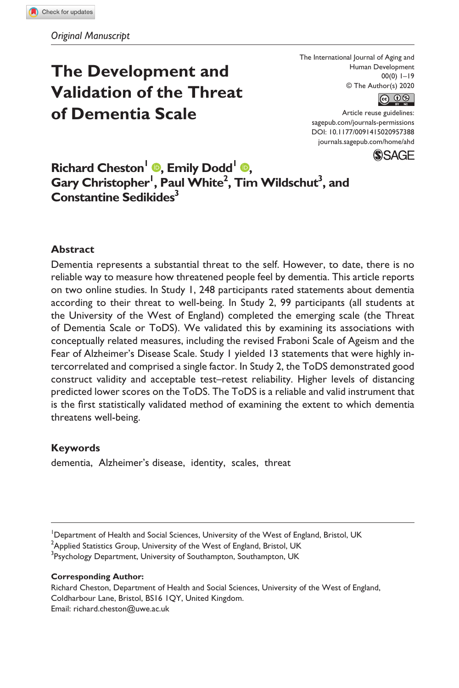# **The Development and Validation of the Threat of Dementia Scale**

The International Journal of Aging and Human Development 00(0) 1–19 © The Author(s) 2020



Article reuse guidelines: sagepub.com/journals-permissions DOI: 10.1177/0091415020957388 [journals.sagepub.com/home/ahd](https://journals.sagepub.com/home/ahd)



# **Richard Cheston<sup>1</sup> <b>.** Emily Dodd<sup>1</sup> **.**  $\mathbf{Gary}$  Christopher<sup>1</sup>, Paul White<sup>2</sup>, Tim Wildschut<sup>3</sup>, and **Constantine Sedikides3**

# **Abstract**

Dementia represents a substantial threat to the self. However, to date, there is no reliable way to measure how threatened people feel by dementia. This article reports on two online studies. In Study 1, 248 participants rated statements about dementia according to their threat to well-being. In Study 2, 99 participants (all students at the University of the West of England) completed the emerging scale (the Threat of Dementia Scale or ToDS). We validated this by examining its associations with conceptually related measures, including the revised Fraboni Scale of Ageism and the Fear of Alzheimer's Disease Scale. Study 1 yielded 13 statements that were highly intercorrelated and comprised a single factor. In Study 2, the ToDS demonstrated good construct validity and acceptable test–retest reliability. Higher levels of distancing predicted lower scores on the ToDS. The ToDS is a reliable and valid instrument that is the first statistically validated method of examining the extent to which dementia threatens well-being.

### **Keywords**

dementia, Alzheimer's disease, identity, scales, threat

<sup>1</sup>Department of Health and Social Sciences, University of the West of England, Bristol, UK  $^2$ Applied Statistics Group, University of the West of England, Bristol, UK

<sup>3</sup>Psychology Department, University of Southampton, Southampton, UK

#### **Corresponding Author:**

Richard Cheston, Department of Health and Social Sciences, University of the West of England, Coldharbour Lane, Bristol, BS16 1QY, United Kingdom. Email: [richard.cheston@uwe.ac.uk](mailto:richard.cheston@uwe.ac.uk)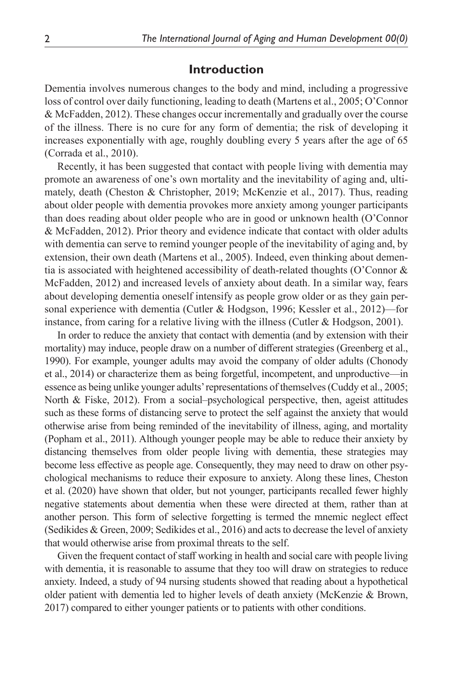# **Introduction**

Dementia involves numerous changes to the body and mind, including a progressive loss of control over daily functioning, leading to death ([Martens et](#page-17-0) al., 2005; [O'Connor](#page-17-1) [& McFadden, 2012](#page-17-1)). These changes occur incrementally and gradually over the course of the illness. There is no cure for any form of dementia; the risk of developing it increases exponentially with age, roughly doubling every 5 years after the age of 65 [\(Corrada et](#page-15-0) al., 2010).

Recently, it has been suggested that contact with people living with dementia may promote an awareness of one's own mortality and the inevitability of aging and, ultimately, death ([Cheston & Christopher, 2019](#page-15-1); [McKenzie et](#page-17-2) al., 2017). Thus, reading about older people with dementia provokes more anxiety among younger participants than does reading about older people who are in good or unknown health [\(O'Connor](#page-17-1) [& McFadden, 2012](#page-17-1)). Prior theory and evidence indicate that contact with older adults with dementia can serve to remind younger people of the inevitability of aging and, by extension, their own death ([Martens et](#page-17-0) al., 2005). Indeed, even thinking about dementia is associated with heightened accessibility of death-related thoughts [\(O'Connor &](#page-17-1) [McFadden, 2012\)](#page-17-1) and increased levels of anxiety about death. In a similar way, fears about developing dementia oneself intensify as people grow older or as they gain personal experience with dementia ([Cutler & Hodgson, 1996](#page-16-0); [Kessler et](#page-16-1) al., 2012)—for instance, from caring for a relative living with the illness [\(Cutler & Hodgson, 2001\)](#page-16-2).

In order to reduce the anxiety that contact with dementia (and by extension with their mortality) may induce, people draw on a number of different strategies ([Greenberg et](#page-16-3) al., [1990](#page-16-3)). For example, younger adults may avoid the company of older adults [\(Chonody](#page-15-2) et [al., 2014](#page-15-2)) or characterize them as being forgetful, incompetent, and unproductive—in essence as being unlike younger adults' representations of themselves ([Cuddy et](#page-16-4) al., 2005; [North & Fiske, 2012](#page-17-3)). From a social–psychological perspective, then, ageist attitudes such as these forms of distancing serve to protect the self against the anxiety that would otherwise arise from being reminded of the inevitability of illness, aging, and mortality [\(Popham et](#page-17-4) al., 2011). Although younger people may be able to reduce their anxiety by distancing themselves from older people living with dementia, these strategies may become less effective as people age. Consequently, they may need to draw on other psychological mechanisms to reduce their exposure to anxiety. Along these lines, [Cheston](#page-15-3) et [al. \(2020\)](#page-15-3) have shown that older, but not younger, participants recalled fewer highly negative statements about dementia when these were directed at them, rather than at another person. This form of selective forgetting is termed the mnemic neglect effect [\(Sedikides & Green, 2009;](#page-17-5) [Sedikides et](#page-17-6) al., 2016) and acts to decrease the level of anxiety that would otherwise arise from proximal threats to the self.

Given the frequent contact of staff working in health and social care with people living with dementia, it is reasonable to assume that they too will draw on strategies to reduce anxiety. Indeed, a study of 94 nursing students showed that reading about a hypothetical older patient with dementia led to higher levels of death anxiety [\(McKenzie & Brown,](#page-17-7) [2017](#page-17-7)) compared to either younger patients or to patients with other conditions.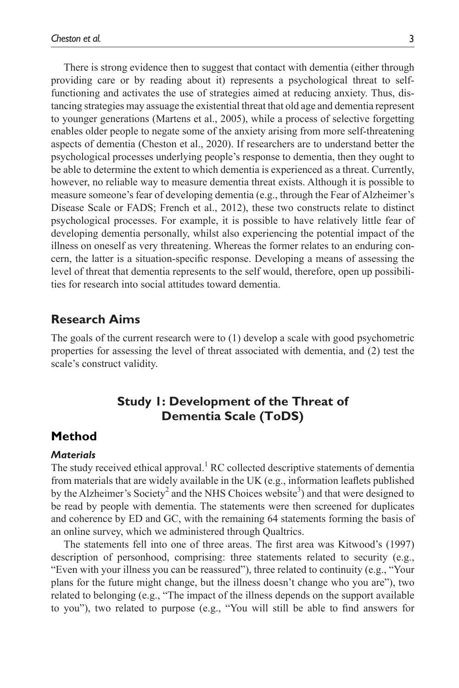There is strong evidence then to suggest that contact with dementia (either through providing care or by reading about it) represents a psychological threat to selffunctioning and activates the use of strategies aimed at reducing anxiety. Thus, distancing strategies may assuage the existential threat that old age and dementia represent to younger generations ([Martens et](#page-17-0) al., 2005), while a process of selective forgetting enables older people to negate some of the anxiety arising from more self-threatening aspects of dementia ([Cheston et](#page-15-3) al., 2020). If researchers are to understand better the psychological processes underlying people's response to dementia, then they ought to be able to determine the extent to which dementia is experienced as a threat. Currently, however, no reliable way to measure dementia threat exists. Although it is possible to measure someone's fear of developing dementia (e.g., through the Fear of Alzheimer's Disease Scale or FADS; [French et](#page-16-5) al., 2012), these two constructs relate to distinct psychological processes. For example, it is possible to have relatively little fear of developing dementia personally, whilst also experiencing the potential impact of the illness on oneself as very threatening. Whereas the former relates to an enduring concern, the latter is a situation-specific response. Developing a means of assessing the level of threat that dementia represents to the self would, therefore, open up possibilities for research into social attitudes toward dementia.

# **Research Aims**

The goals of the current research were to (1) develop a scale with good psychometric properties for assessing the level of threat associated with dementia, and (2) test the scale's construct validity.

# **Study 1: Development of the Threat of Dementia Scale (ToDS)**

# **Method**

# *Materials*

The study received ethical approval.<sup>1</sup> RC collected descriptive statements of dementia from materials that are widely available in the UK (e.g., information leaflets published by the Alzheimer's Society<sup>[2](#page-14-1)</sup> and the NHS Choices website<sup>[3](#page-14-2)</sup>) and that were designed to be read by people with dementia. The statements were then screened for duplicates and coherence by ED and GC, with the remaining 64 statements forming the basis of an online survey, which we administered through Qualtrics.

The statements fell into one of three areas. The first area was [Kitwood's \(1997\)](#page-16-6) description of personhood, comprising: three statements related to security (e.g., "Even with your illness you can be reassured"), three related to continuity (e.g., "Your plans for the future might change, but the illness doesn't change who you are"), two related to belonging (e.g., "The impact of the illness depends on the support available to you"), two related to purpose (e.g., "You will still be able to find answers for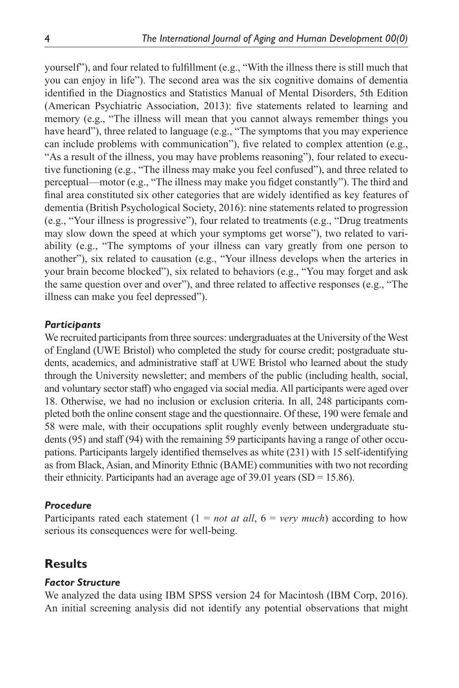yourself"), and four related to fulfillment (e.g., "With the illness there is still much that you can enjoy in life"). The second area was the six cognitive domains of dementia identified in the Diagnostics and Statistics Manual of Mental Disorders, 5th Edition [\(American Psychiatric Association, 2013](#page-15-4)): five statements related to learning and memory (e.g., "The illness will mean that you cannot always remember things you have heard"), three related to language (e.g., "The symptoms that you may experience can include problems with communication"), five related to complex attention (e.g., "As a result of the illness, you may have problems reasoning"), four related to executive functioning (e.g., "The illness may make you feel confused"), and three related to perceptual—motor (e.g., "The illness may make you fidget constantly"). The third and final area constituted six other categories that are widely identified as key features of dementia [\(British Psychological Society, 2016\)](#page-15-5): nine statements related to progression (e.g., "Your illness is progressive"), four related to treatments (e.g., "Drug treatments may slow down the speed at which your symptoms get worse"), two related to variability (e.g., "The symptoms of your illness can vary greatly from one person to another"), six related to causation (e.g., "Your illness develops when the arteries in your brain become blocked"), six related to behaviors (e.g., "You may forget and ask the same question over and over"), and three related to affective responses (e.g., "The illness can make you feel depressed").

### *Participants*

We recruited participants from three sources: undergraduates at the University of the West of England (UWE Bristol) who completed the study for course credit; postgraduate students, academics, and administrative staff at UWE Bristol who learned about the study through the University newsletter; and members of the public (including health, social, and voluntary sector staff) who engaged via social media. All participants were aged over 18. Otherwise, we had no inclusion or exclusion criteria. In all, 248 participants completed both the online consent stage and the questionnaire. Of these, 190 were female and 58 were male, with their occupations split roughly evenly between undergraduate students (95) and staff (94) with the remaining 59 participants having a range of other occupations. Participants largely identified themselves as white (231) with 15 self-identifying as from Black, Asian, and Minority Ethnic (BAME) communities with two not recording their ethnicity. Participants had an average age of  $39.01$  years (SD = 15.86).

#### *Procedure*

Participants rated each statement  $(1 = not at all, 6 = very much)$  according to how serious its consequences were for well-being.

# **Results**

### *Factor Structure*

We analyzed the data using IBM SPSS version 24 for Macintosh ([IBM Corp, 2016](#page-16-7)). An initial screening analysis did not identify any potential observations that might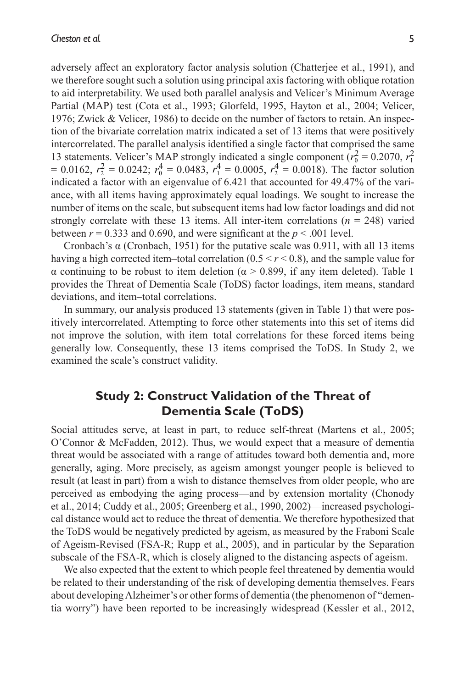adversely affect an exploratory factor analysis solution ([Chatterjee et](#page-15-6) al., 1991), and we therefore sought such a solution using principal axis factoring with oblique rotation to aid interpretability. We used both parallel analysis and Velicer's Minimum Average Partial (MAP) test (Cota et [al., 1993](#page-16-8); [Glorfeld, 1995,](#page-16-9) [Hayton et](#page-16-10) al., 2004; [Velicer,](#page-17-8) [1976](#page-17-8); [Zwick & Velicer, 1986](#page-18-0)) to decide on the number of factors to retain. An inspection of the bivariate correlation matrix indicated a set of 13 items that were positively intercorrelated. The parallel analysis identified a single factor that comprised the same 13 statements. Velicer's MAP strongly indicated a single component ( $r_0^2 = 0.2070$ ,  $r_1^2$ )  $= 0.0162$ ,  $r_2^2 = 0.0242$ ;  $r_0^4 = 0.0483$ ,  $r_1^4 = 0.0005$ ,  $r_2^4 = 0.0018$ ). The factor solution indicated a factor with an eigenvalue of 6.421 that accounted for 49.47% of the variance, with all items having approximately equal loadings. We sought to increase the number of items on the scale, but subsequent items had low factor loadings and did not strongly correlate with these 13 items. All inter-item correlations  $(n = 248)$  varied between  $r = 0.333$  and 0.690, and were significant at the  $p \le 0.001$  level.

Cronbach's  $\alpha$  ([Cronbach, 1951\)](#page-16-11) for the putative scale was 0.911, with all 13 items having a high corrected item–total correlation  $(0.5 \le r \le 0.8)$ , and the sample value for α continuing to be robust to item deletion (α > 0.899, if any item deleted). [Table](#page-5-0) 1 provides the Threat of Dementia Scale (ToDS) factor loadings, item means, standard deviations, and item–total correlations.

In summary, our analysis produced 13 statements (given in [Table](#page-5-0) 1) that were positively intercorrelated. Attempting to force other statements into this set of items did not improve the solution, with item–total correlations for these forced items being generally low. Consequently, these 13 items comprised the ToDS. In Study 2, we examined the scale's construct validity.

# **Study 2: Construct Validation of the Threat of Dementia Scale (ToDS)**

Social attitudes serve, at least in part, to reduce self-threat [\(Martens et](#page-17-0) al., 2005; [O'Connor & McFadden, 2012\)](#page-17-1). Thus, we would expect that a measure of dementia threat would be associated with a range of attitudes toward both dementia and, more generally, aging. More precisely, as ageism amongst younger people is believed to result (at least in part) from a wish to distance themselves from older people, who are perceived as embodying the aging process—and by extension mortality [\(Chonody](#page-15-2) et [al., 2014](#page-15-2); [Cuddy et](#page-16-4) al., 2005; [Greenberg et](#page-16-3) al., 1990, [2002](#page-16-12))—increased psychological distance would act to reduce the threat of dementia. We therefore hypothesized that the ToDS would be negatively predicted by ageism, as measured by the Fraboni Scale of Ageism-Revised (FSA-R; Rupp et [al., 2005](#page-17-9)), and in particular by the Separation subscale of the FSA-R, which is closely aligned to the distancing aspects of ageism.

We also expected that the extent to which people feel threatened by dementia would be related to their understanding of the risk of developing dementia themselves. Fears about developing Alzheimer's or other forms of dementia (the phenomenon of "dementia worry") have been reported to be increasingly widespread [\(Kessler et](#page-16-1) al., 2012,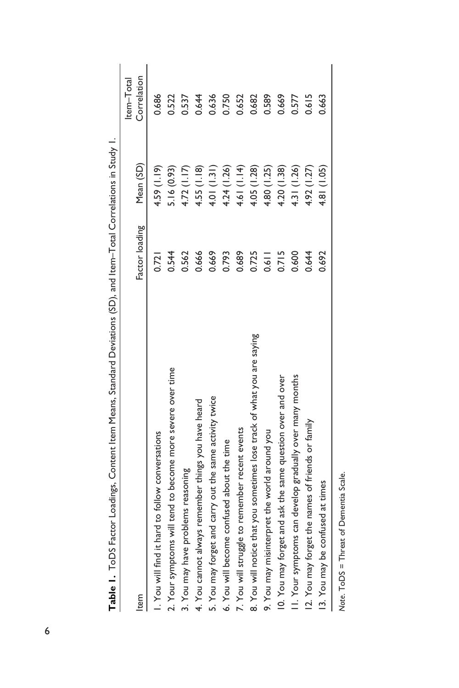| Item                                                                    | Factor loading | Mean (SD)   | Correlation<br>Item-Total |
|-------------------------------------------------------------------------|----------------|-------------|---------------------------|
| I. You will find it hard to follow conversations                        | 0.721          | 4.59(1.19)  | 0.686                     |
| 2. Your symptoms will tend to become more severe over time              | 0.544          | 5.16(0.93)  | 0.522                     |
| 3. You may have problems reasoning                                      | 0.562          | 4.72(1.17)  | 0.537                     |
| 4. You cannot always remember things you have heard                     | 0.666          | 4.55(1.18)  | 0.644                     |
| 5. You may forget and carry out the same activity twice                 | 0.669          | 4.01(1.31)  | 0.636                     |
| 6. You will become confused about the time                              | 0.793          | 4.24 (1.26) | 0.750                     |
| 7. You will struggle to remember recent events                          | 0.689          | 4.61 (1.14) | 0.652                     |
| 8. You will notice that you sometimes lose track of what you are saying | 0.725          | 4.05(1.28)  | 0.682                     |
| 9. You may misinterpret the world around you                            | 0.611          | 4.80 (1.25) | 0.589                     |
| 10. You may forget and ask the same question over and over              | 0.715          | 4.20(1.38)  | 0.669                     |
| II. Your symptoms can develop gradually over many months                | 0.600          | 4.31 (1.26) | 0.577                     |
| 12. You may forget the names of friends or family                       | 0.644          | 4.92(1.27)  | 0.615                     |
| 13. You may be confused at times                                        | 0.692          | 4.81 (1.05) | 0.663                     |
|                                                                         |                |             |                           |

*Note*. ToDS = Threat of Dementia Scale.

<span id="page-5-0"></span>Note. ToDS = Threat of Dementia Scale.

Table 1. ToDS Factor Loadings, Content Item Means, Standard Deviations (SD), and Item-Total Correlations in Study I. **Table 1.** ToDS Factor Loadings, Content Item Means, Standard Deviations (SD), and Item–Total Correlations in Study 1.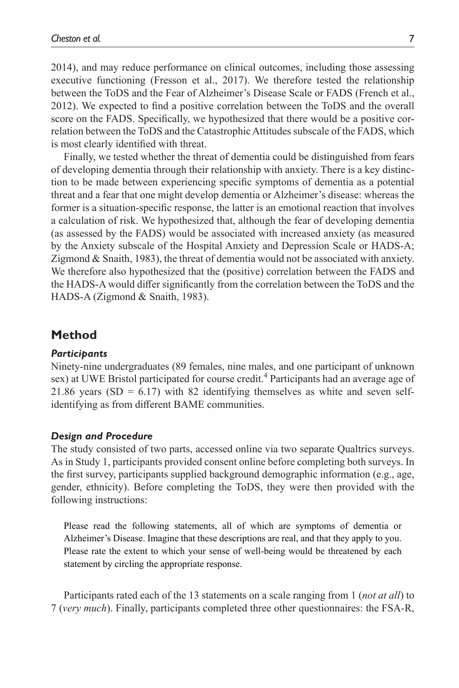[2014](#page-16-13)), and may reduce performance on clinical outcomes, including those assessing executive functioning ([Fresson et](#page-16-14) al., 2017). We therefore tested the relationship between the ToDS and the Fear of Alzheimer's Disease Scale or FADS ([French et](#page-16-5) al., [2012](#page-16-5)). We expected to find a positive correlation between the ToDS and the overall score on the FADS. Specifically, we hypothesized that there would be a positive correlation between the ToDS and the Catastrophic Attitudes subscale of the FADS, which is most clearly identified with threat.

Finally, we tested whether the threat of dementia could be distinguished from fears of developing dementia through their relationship with anxiety. There is a key distinction to be made between experiencing specific symptoms of dementia as a potential threat and a fear that one might develop dementia or Alzheimer's disease: whereas the former is a situation-specific response, the latter is an emotional reaction that involves a calculation of risk. We hypothesized that, although the fear of developing dementia (as assessed by the FADS) would be associated with increased anxiety (as measured by the Anxiety subscale of the Hospital Anxiety and Depression Scale or HADS-A; [Zigmond & Snaith, 1983\)](#page-18-1), the threat of dementia would not be associated with anxiety. We therefore also hypothesized that the (positive) correlation between the FADS and the HADS-A would differ significantly from the correlation between the ToDS and the HADS-A [\(Zigmond & Snaith, 1983](#page-18-1)).

# **Method**

#### *Participants*

Ninety-nine undergraduates (89 females, nine males, and one participant of unknown sex) at UWE Bristol participated for course credit.<sup>4</sup> Participants had an average age of 21.86 years (SD =  $6.17$ ) with 82 identifying themselves as white and seven selfidentifying as from different BAME communities.

#### *Design and Procedure*

The study consisted of two parts, accessed online via two separate Qualtrics surveys. As in Study 1, participants provided consent online before completing both surveys. In the first survey, participants supplied background demographic information (e.g., age, gender, ethnicity). Before completing the ToDS, they were then provided with the following instructions:

Please read the following statements, all of which are symptoms of dementia or Alzheimer's Disease. Imagine that these descriptions are real, and that they apply to you. Please rate the extent to which your sense of well-being would be threatened by each statement by circling the appropriate response.

Participants rated each of the 13 statements on a scale ranging from 1 (*not at all*) to 7 (*very much*). Finally, participants completed three other questionnaires: the FSA-R,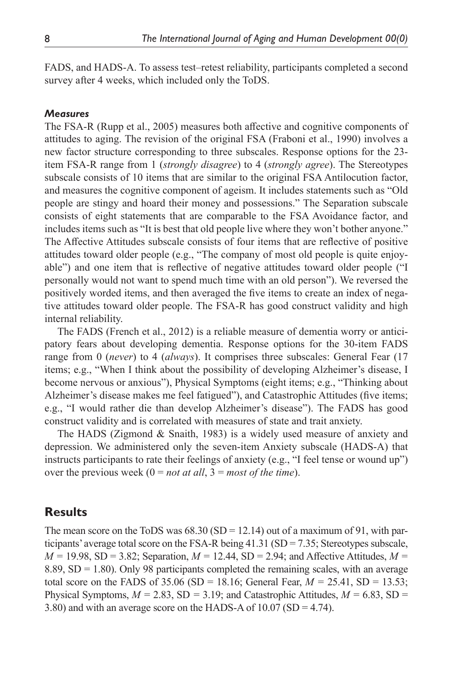FADS, and HADS-A. To assess test–retest reliability, participants completed a second survey after 4 weeks, which included only the ToDS.

### *Measures*

The FSA-R (Rupp et [al., 2005](#page-17-9)) measures both affective and cognitive components of attitudes to aging. The revision of the original FSA [\(Fraboni et](#page-16-15) al., 1990) involves a new factor structure corresponding to three subscales. Response options for the 23 item FSA-R range from 1 (*strongly disagree*) to 4 (*strongly agree*). The Stereotypes subscale consists of 10 items that are similar to the original FSA Antilocution factor, and measures the cognitive component of ageism. It includes statements such as "Old people are stingy and hoard their money and possessions." The Separation subscale consists of eight statements that are comparable to the FSA Avoidance factor, and includes items such as "It is best that old people live where they won't bother anyone." The Affective Attitudes subscale consists of four items that are reflective of positive attitudes toward older people (e.g., "The company of most old people is quite enjoyable") and one item that is reflective of negative attitudes toward older people ("I personally would not want to spend much time with an old person"). We reversed the positively worded items, and then averaged the five items to create an index of negative attitudes toward older people. The FSA-R has good construct validity and high internal reliability.

The FADS [\(French et](#page-16-5) al., 2012) is a reliable measure of dementia worry or anticipatory fears about developing dementia. Response options for the 30-item FADS range from 0 (*never*) to 4 (*always*). It comprises three subscales: General Fear (17 items; e.g., "When I think about the possibility of developing Alzheimer's disease, I become nervous or anxious"), Physical Symptoms (eight items; e.g., "Thinking about Alzheimer's disease makes me feel fatigued"), and Catastrophic Attitudes (five items; e.g., "I would rather die than develop Alzheimer's disease"). The FADS has good construct validity and is correlated with measures of state and trait anxiety.

The HADS [\(Zigmond & Snaith, 1983](#page-18-1)) is a widely used measure of anxiety and depression. We administered only the seven-item Anxiety subscale (HADS-A) that instructs participants to rate their feelings of anxiety (e.g., "I feel tense or wound up") over the previous week  $(0 = not at all, 3 = most of the time)$ .

# **Results**

The mean score on the ToDS was  $68.30$  (SD = 12.14) out of a maximum of 91, with participants' average total score on the FSA-R being 41.31 (SD = 7.35; Stereotypes subscale,  $M = 19.98$ , SD = 3.82; Separation,  $M = 12.44$ , SD = 2.94; and Affective Attitudes,  $M =$ 8.89,  $SD = 1.80$ ). Only 98 participants completed the remaining scales, with an average total score on the FADS of  $35.06$  (SD = 18.16; General Fear,  $M = 25.41$ , SD = 13.53; Physical Symptoms,  $M = 2.83$ , SD = 3.19; and Catastrophic Attitudes,  $M = 6.83$ , SD = 3.80) and with an average score on the HADS-A of 10.07 (SD = 4.74).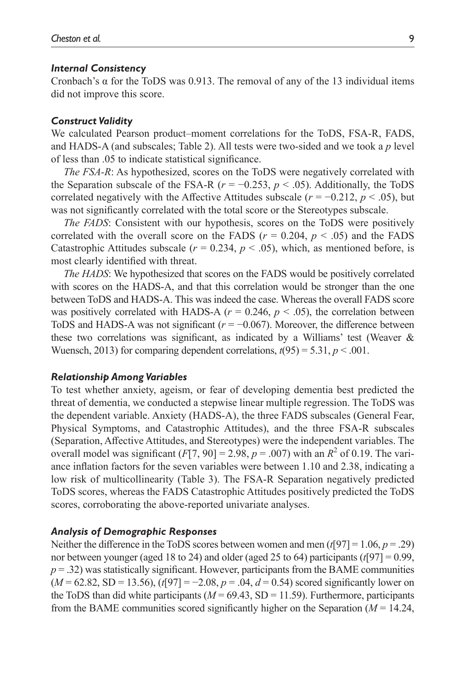#### *Internal Consistency*

Cronbach's α for the ToDS was 0.913. The removal of any of the 13 individual items did not improve this score.

#### *Construct Validity*

We calculated Pearson product–moment correlations for the ToDS, FSA-R, FADS, and HADS-A (and subscales; [Table](#page-9-0) 2). All tests were two-sided and we took a *p* level of less than .05 to indicate statistical significance.

*The FSA-R*: As hypothesized, scores on the ToDS were negatively correlated with the Separation subscale of the FSA-R ( $r = -0.253$ ,  $p < .05$ ). Additionally, the ToDS correlated negatively with the Affective Attitudes subscale ( $r = -0.212$ ,  $p < .05$ ), but was not significantly correlated with the total score or the Stereotypes subscale.

*The FADS*: Consistent with our hypothesis, scores on the ToDS were positively correlated with the overall score on the FADS ( $r = 0.204$ ,  $p < .05$ ) and the FADS Catastrophic Attitudes subscale ( $r = 0.234$ ,  $p < .05$ ), which, as mentioned before, is most clearly identified with threat.

*The HADS*: We hypothesized that scores on the FADS would be positively correlated with scores on the HADS-A, and that this correlation would be stronger than the one between ToDS and HADS-A. This was indeed the case. Whereas the overall FADS score was positively correlated with HADS-A  $(r = 0.246, p < .05)$ , the correlation between ToDS and HADS-A was not significant  $(r = -0.067)$ . Moreover, the difference between these two correlations was significant, as indicated by a Williams' test ([Weaver &](#page-17-10) [Wuensch, 2013\)](#page-17-10) for comparing dependent correlations,  $t(95) = 5.31$ ,  $p < .001$ .

#### *Relationship Among Variables*

To test whether anxiety, ageism, or fear of developing dementia best predicted the threat of dementia, we conducted a stepwise linear multiple regression. The ToDS was the dependent variable. Anxiety (HADS-A), the three FADS subscales (General Fear, Physical Symptoms, and Catastrophic Attitudes), and the three FSA-R subscales (Separation, Affective Attitudes, and Stereotypes) were the independent variables. The overall model was significant  $(F[7, 90] = 2.98, p = .007)$  with an  $R^2$  of 0.19. The variance inflation factors for the seven variables were between 1.10 and 2.38, indicating a low risk of multicollinearity [\(Table](#page-10-0) 3). The FSA-R Separation negatively predicted ToDS scores, whereas the FADS Catastrophic Attitudes positively predicted the ToDS scores, corroborating the above-reported univariate analyses.

#### *Analysis of Demographic Responses*

Neither the difference in the ToDS scores between women and men (*t*[97] = 1.06, *p* = .29) nor between younger (aged 18 to 24) and older (aged 25 to 64) participants (*t*[97] = 0.99,  $p = .32$ ) was statistically significant. However, participants from the BAME communities (*M* = 62.82, SD = 13.56), (*t*[97] = −2.08, *p* = .04, *d* = 0.54) scored significantly lower on the ToDS than did white participants  $(M = 69.43, SD = 11.59)$ . Furthermore, participants from the BAME communities scored significantly higher on the Separation (*M* = 14.24,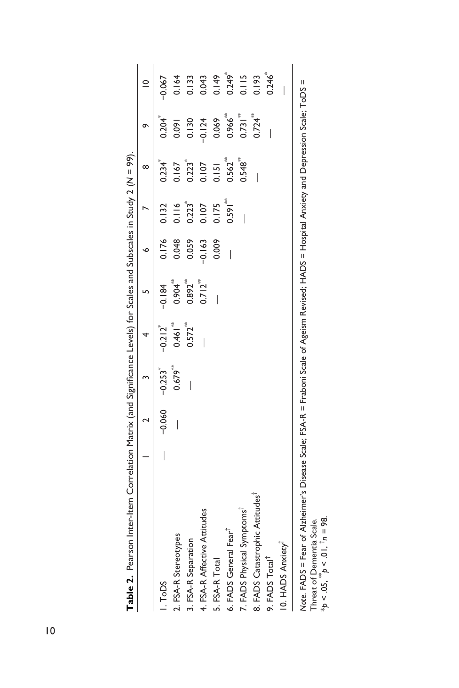|                                             |                 |       |                       |                       | ¢        |       | ∞             | σ             | $\subseteq$          |
|---------------------------------------------|-----------------|-------|-----------------------|-----------------------|----------|-------|---------------|---------------|----------------------|
| I.ToDS                                      | $-0.060 -0.253$ |       | $-0.212$ <sup>*</sup> | $-0.184$              | 0.176    | 0.132 | 0.234         | 0.204         | $-0.067$             |
| 2. FSA-R Stereotypes                        |                 | 0.679 | 0.461                 | 0.904                 | 0.048    | 0.116 | .167          | 0.091         | 0.164                |
| 3. FSA-R Separation                         |                 |       | $0.572$ <sup>**</sup> | $0.892^{**}$          | 0.059    | 0.223 | 0.223         | 0.130         | 0.133                |
| 4. FSA-R Affective Attitudes                |                 |       |                       | $0.712$ <sup>**</sup> | $-0.163$ | 0.107 | 0.107         | $-0.124$      | 0.043                |
| 5. FSA-R Total                              |                 |       |                       |                       | 0.009    | 0.175 | 0.151         | 0.069         | 0.149                |
| 6. FADS General Fear <sup>T</sup>           |                 |       |                       |                       |          | 0.591 | $0.562^{***}$ | $0.966^{***}$ | $0.249$ <sup>*</sup> |
| 7. FADS Physical Symptoms                   |                 |       |                       |                       |          |       | $0.548^{***}$ | $0.731***$    | 0.115                |
| 8. FADS Catastrophic Attitudes <sup>1</sup> |                 |       |                       |                       |          |       |               | 0.724         | 0.193                |
| 9. FADS Total <sup>®</sup>                  |                 |       |                       |                       |          |       |               |               | $0.246^{*}$          |
| 10. HADS Anxiety <sup>T</sup>               |                 |       |                       |                       |          |       |               |               |                      |

*Note*. FADS = Fear of Alzheimer's Disease Scale; FSA-R = Fraboni Scale of Ageism Revised; HADS = Hospital Anxiety and Depression Scale; ToDS = ۄ Threat of Dementia Scale.<br>\* $p < .05$ ,  $\overline{p}$   $< .01$ ,  $\overline{1}n = 98$ . \**p* < .05, \*\**p* < .01, †*n* = 98. Threat of Dementia Scale.

<span id="page-9-0"></span>10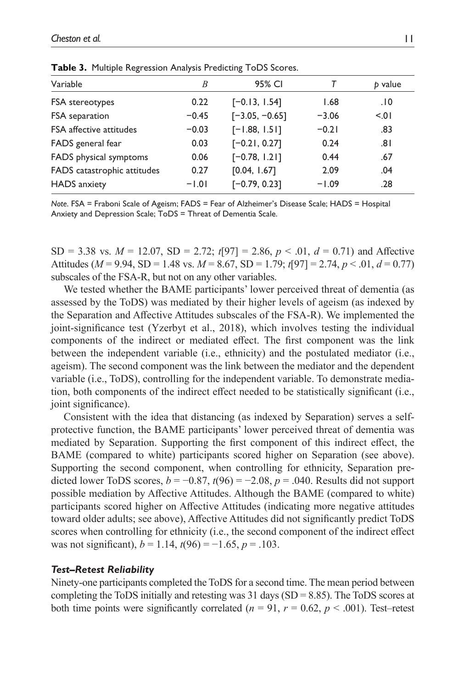| Variable                    | B       | 95% CI           |         | b value |
|-----------------------------|---------|------------------|---------|---------|
| FSA stereotypes             | 0.22    | $[-0.13, 1.54]$  | 1.68    | .10     |
| FSA separation              | $-0.45$ | $[-3.05, -0.65]$ | $-3.06$ | 5.01    |
| FSA affective attitudes     | $-0.03$ | $[-1.88, 1.51]$  | $-0.21$ | .83     |
| FADS general fear           | 0.03    | $[-0.21, 0.27]$  | 0.24    | ا 8.    |
| FADS physical symptoms      | 0.06    | $[-0.78, 1.21]$  | 0.44    | .67     |
| FADS catastrophic attitudes | 0.27    | [0.04, 1.67]     | 2.09    | .04     |
| <b>HADS</b> anxiety         | $-1.01$ | $[-0.79, 0.23]$  | $-1.09$ | .28     |

<span id="page-10-0"></span>**Table 3.** Multiple Regression Analysis Predicting ToDS Scores.

*Note*. FSA = Fraboni Scale of Ageism; FADS = Fear of Alzheimer's Disease Scale; HADS = Hospital Anxiety and Depression Scale; ToDS = Threat of Dementia Scale.

SD = 3.38 vs.  $M = 12.07$ , SD = 2.72;  $t[97] = 2.86$ ,  $p < .01$ ,  $d = 0.71$ ) and Affective Attitudes ( $M = 9.94$ , SD = 1.48 vs.  $M = 8.67$ , SD = 1.79;  $t[97] = 2.74$ ,  $p < .01$ ,  $d = 0.77$ ) subscales of the FSA-R, but not on any other variables.

We tested whether the BAME participants' lower perceived threat of dementia (as assessed by the ToDS) was mediated by their higher levels of ageism (as indexed by the Separation and Affective Attitudes subscales of the FSA-R). We implemented the joint-significance test ([Yzerbyt et](#page-18-2) al., 2018), which involves testing the individual components of the indirect or mediated effect. The first component was the link between the independent variable (i.e., ethnicity) and the postulated mediator (i.e., ageism). The second component was the link between the mediator and the dependent variable (i.e., ToDS), controlling for the independent variable. To demonstrate mediation, both components of the indirect effect needed to be statistically significant (i.e., joint significance).

Consistent with the idea that distancing (as indexed by Separation) serves a selfprotective function, the BAME participants' lower perceived threat of dementia was mediated by Separation. Supporting the first component of this indirect effect, the BAME (compared to white) participants scored higher on Separation (see above). Supporting the second component, when controlling for ethnicity, Separation predicted lower ToDS scores,  $b = -0.87$ ,  $t(96) = -2.08$ ,  $p = .040$ . Results did not support possible mediation by Affective Attitudes. Although the BAME (compared to white) participants scored higher on Affective Attitudes (indicating more negative attitudes toward older adults; see above), Affective Attitudes did not significantly predict ToDS scores when controlling for ethnicity (i.e., the second component of the indirect effect was not significant),  $b = 1.14$ ,  $t(96) = -1.65$ ,  $p = .103$ .

#### *Test–Retest Reliability*

Ninety-one participants completed the ToDS for a second time. The mean period between completing the ToDS initially and retesting was 31 days  $(SD = 8.85)$ . The ToDS scores at both time points were significantly correlated ( $n = 91$ ,  $r = 0.62$ ,  $p < .001$ ). Test–retest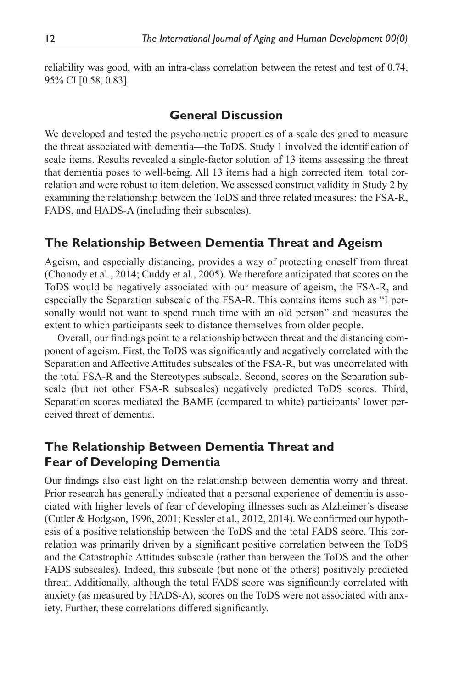reliability was good, with an intra-class correlation between the retest and test of 0.74, 95% CI [0.58, 0.83].

# **General Discussion**

We developed and tested the psychometric properties of a scale designed to measure the threat associated with dementia—the ToDS. Study 1 involved the identification of scale items. Results revealed a single-factor solution of 13 items assessing the threat that dementia poses to well-being. All 13 items had a high corrected item−total correlation and were robust to item deletion. We assessed construct validity in Study 2 by examining the relationship between the ToDS and three related measures: the FSA-R, FADS, and HADS-A (including their subscales).

# **The Relationship Between Dementia Threat and Ageism**

Ageism, and especially distancing, provides a way of protecting oneself from threat [\(Chonody et](#page-15-2) al., 2014; [Cuddy et](#page-16-4) al., 2005). We therefore anticipated that scores on the ToDS would be negatively associated with our measure of ageism, the FSA-R, and especially the Separation subscale of the FSA-R. This contains items such as "I personally would not want to spend much time with an old person" and measures the extent to which participants seek to distance themselves from older people.

Overall, our findings point to a relationship between threat and the distancing component of ageism. First, the ToDS was significantly and negatively correlated with the Separation and Affective Attitudes subscales of the FSA-R, but was uncorrelated with the total FSA-R and the Stereotypes subscale. Second, scores on the Separation subscale (but not other FSA-R subscales) negatively predicted ToDS scores. Third, Separation scores mediated the BAME (compared to white) participants' lower perceived threat of dementia.

# **The Relationship Between Dementia Threat and Fear of Developing Dementia**

Our findings also cast light on the relationship between dementia worry and threat. Prior research has generally indicated that a personal experience of dementia is associated with higher levels of fear of developing illnesses such as Alzheimer's disease [\(Cutler & Hodgson, 1996,](#page-16-0) [2001](#page-16-2); [Kessler et](#page-16-1) al., 2012, [2014](#page-16-13)). We confirmed our hypothesis of a positive relationship between the ToDS and the total FADS score. This correlation was primarily driven by a significant positive correlation between the ToDS and the Catastrophic Attitudes subscale (rather than between the ToDS and the other FADS subscales). Indeed, this subscale (but none of the others) positively predicted threat. Additionally, although the total FADS score was significantly correlated with anxiety (as measured by HADS-A), scores on the ToDS were not associated with anxiety. Further, these correlations differed significantly.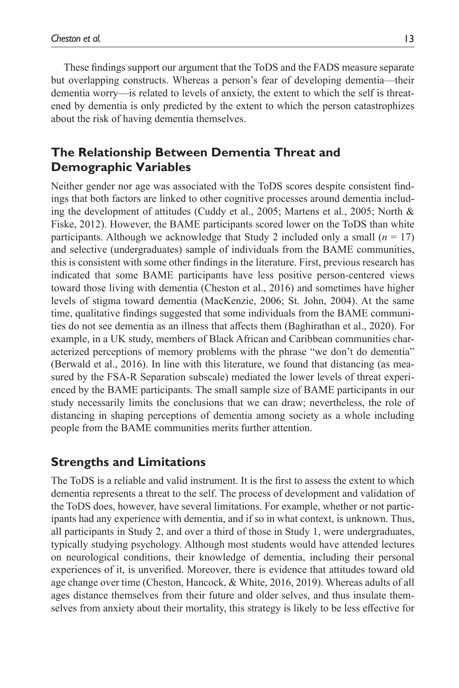These findings support our argument that the ToDS and the FADS measure separate but overlapping constructs. Whereas a person's fear of developing dementia—their dementia worry—is related to levels of anxiety, the extent to which the self is threatened by dementia is only predicted by the extent to which the person catastrophizes about the risk of having dementia themselves.

# **The Relationship Between Dementia Threat and Demographic Variables**

Neither gender nor age was associated with the ToDS scores despite consistent findings that both factors are linked to other cognitive processes around dementia including the development of attitudes [\(Cuddy et](#page-16-4) al., 2005; [Martens et](#page-17-0) al., 2005; [North &](#page-17-3) [Fiske, 2012\)](#page-17-3). However, the BAME participants scored lower on the ToDS than white participants. Although we acknowledge that Study 2 included only a small  $(n = 17)$ and selective (undergraduates) sample of individuals from the BAME communities, this is consistent with some other findings in the literature. First, previous research has indicated that some BAME participants have less positive person-centered views toward those living with dementia [\(Cheston et](#page-15-8) al., 2016) and sometimes have higher levels of stigma toward dementia ([MacKenzie, 2006;](#page-17-11) [St. John, 2004\)](#page-17-12). At the same time, qualitative findings suggested that some individuals from the BAME communities do not see dementia as an illness that affects them ([Baghirathan et](#page-15-9) al., 2020). For example, in a UK study, members of Black African and Caribbean communities characterized perceptions of memory problems with the phrase "we don't do dementia" [\(Berwald et](#page-15-10) al., 2016). In line with this literature, we found that distancing (as measured by the FSA-R Separation subscale) mediated the lower levels of threat experienced by the BAME participants. The small sample size of BAME participants in our study necessarily limits the conclusions that we can draw; nevertheless, the role of distancing in shaping perceptions of dementia among society as a whole including people from the BAME communities merits further attention.

# **Strengths and Limitations**

The ToDS is a reliable and valid instrument. It is the first to assess the extent to which dementia represents a threat to the self. The process of development and validation of the ToDS does, however, have several limitations. For example, whether or not participants had any experience with dementia, and if so in what context, is unknown. Thus, all participants in Study 2, and over a third of those in Study 1, were undergraduates, typically studying psychology. Although most students would have attended lectures on neurological conditions, their knowledge of dementia, including their personal experiences of it, is unverified. Moreover, there is evidence that attitudes toward old age change over time ([Cheston, Hancock, & White, 2016,](#page-15-8) [2019\)](#page-15-11). Whereas adults of all ages distance themselves from their future and older selves, and thus insulate themselves from anxiety about their mortality, this strategy is likely to be less effective for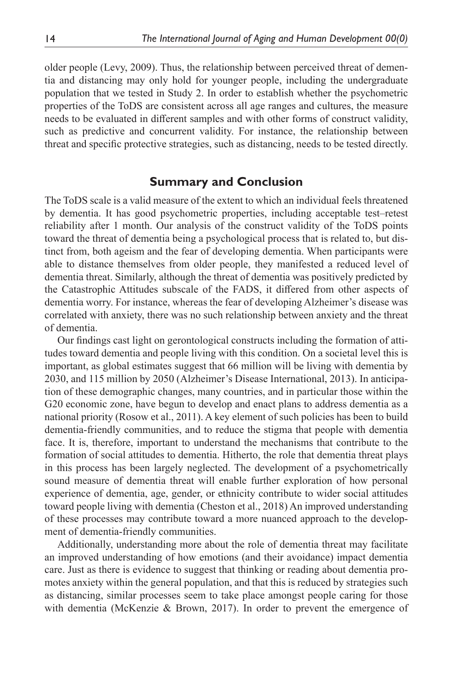older people ([Levy, 2009\)](#page-17-13). Thus, the relationship between perceived threat of dementia and distancing may only hold for younger people, including the undergraduate population that we tested in Study 2. In order to establish whether the psychometric properties of the ToDS are consistent across all age ranges and cultures, the measure needs to be evaluated in different samples and with other forms of construct validity, such as predictive and concurrent validity. For instance, the relationship between threat and specific protective strategies, such as distancing, needs to be tested directly.

# **Summary and Conclusion**

The ToDS scale is a valid measure of the extent to which an individual feels threatened by dementia. It has good psychometric properties, including acceptable test–retest reliability after 1 month. Our analysis of the construct validity of the ToDS points toward the threat of dementia being a psychological process that is related to, but distinct from, both ageism and the fear of developing dementia. When participants were able to distance themselves from older people, they manifested a reduced level of dementia threat. Similarly, although the threat of dementia was positively predicted by the Catastrophic Attitudes subscale of the FADS, it differed from other aspects of dementia worry. For instance, whereas the fear of developing Alzheimer's disease was correlated with anxiety, there was no such relationship between anxiety and the threat of dementia.

Our findings cast light on gerontological constructs including the formation of attitudes toward dementia and people living with this condition. On a societal level this is important, as global estimates suggest that 66 million will be living with dementia by 2030, and 115 million by 2050 ([Alzheimer's Disease International, 2013](#page-15-12)). In anticipation of these demographic changes, many countries, and in particular those within the G20 economic zone, have begun to develop and enact plans to address dementia as a national priority ([Rosow et](#page-17-14) al., 2011). A key element of such policies has been to build dementia-friendly communities, and to reduce the stigma that people with dementia face. It is, therefore, important to understand the mechanisms that contribute to the formation of social attitudes to dementia. Hitherto, the role that dementia threat plays in this process has been largely neglected. The development of a psychometrically sound measure of dementia threat will enable further exploration of how personal experience of dementia, age, gender, or ethnicity contribute to wider social attitudes toward people living with dementia ([Cheston et](#page-15-13) al., 2018) An improved understanding of these processes may contribute toward a more nuanced approach to the development of dementia-friendly communities.

Additionally, understanding more about the role of dementia threat may facilitate an improved understanding of how emotions (and their avoidance) impact dementia care. Just as there is evidence to suggest that thinking or reading about dementia promotes anxiety within the general population, and that this is reduced by strategies such as distancing, similar processes seem to take place amongst people caring for those with dementia ([McKenzie & Brown, 2017](#page-17-7)). In order to prevent the emergence of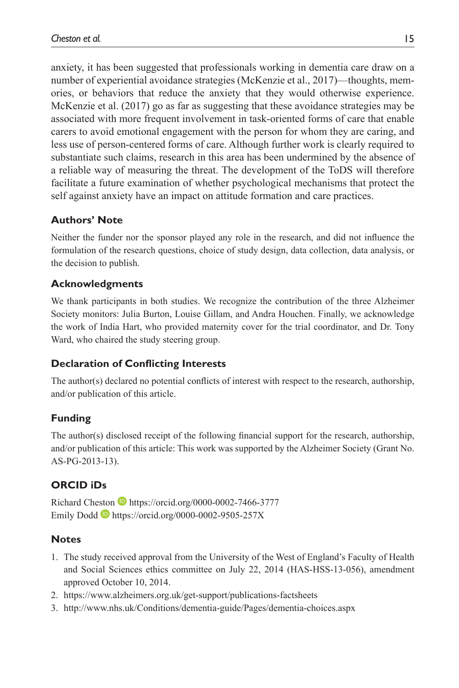anxiety, it has been suggested that professionals working in dementia care draw on a number of experiential avoidance strategies ([McKenzie et](#page-17-2) al., 2017)—thoughts, memories, or behaviors that reduce the anxiety that they would otherwise experience. [McKenzie et](#page-17-2) al. (2017) go as far as suggesting that these avoidance strategies may be associated with more frequent involvement in task-oriented forms of care that enable carers to avoid emotional engagement with the person for whom they are caring, and less use of person-centered forms of care. Although further work is clearly required to substantiate such claims, research in this area has been undermined by the absence of a reliable way of measuring the threat. The development of the ToDS will therefore facilitate a future examination of whether psychological mechanisms that protect the self against anxiety have an impact on attitude formation and care practices.

# **Authors' Note**

Neither the funder nor the sponsor played any role in the research, and did not influence the formulation of the research questions, choice of study design, data collection, data analysis, or the decision to publish.

### **Acknowledgments**

We thank participants in both studies. We recognize the contribution of the three Alzheimer Society monitors: Julia Burton, Louise Gillam, and Andra Houchen. Finally, we acknowledge the work of India Hart, who provided maternity cover for the trial coordinator, and Dr. Tony Ward, who chaired the study steering group.

### **Declaration of Conflicting Interests**

The author(s) declared no potential conflicts of interest with respect to the research, authorship, and/or publication of this article.

### **Funding**

The author(s) disclosed receipt of the following financial support for the research, authorship, and/or publication of this article: This work was supported by the Alzheimer Society (Grant No. AS-PG-2013-13).

# **ORCID iDs**

Richard Cheston D<https://orcid.org/0000-0002-7466-3777> Emily Dodd D <https://orcid.org/0000-0002-9505-257X>

### **Notes**

- <span id="page-14-0"></span>1. The study received approval from the University of the West of England's Faculty of Health and Social Sciences ethics committee on July 22, 2014 (HAS-HSS-13-056), amendment approved October 10, 2014.
- <span id="page-14-1"></span>2. <https://www.alzheimers.org.uk/get-support/publications-factsheets>
- <span id="page-14-2"></span>3. <http://www.nhs.uk/Conditions/dementia-guide/Pages/dementia-choices.aspx>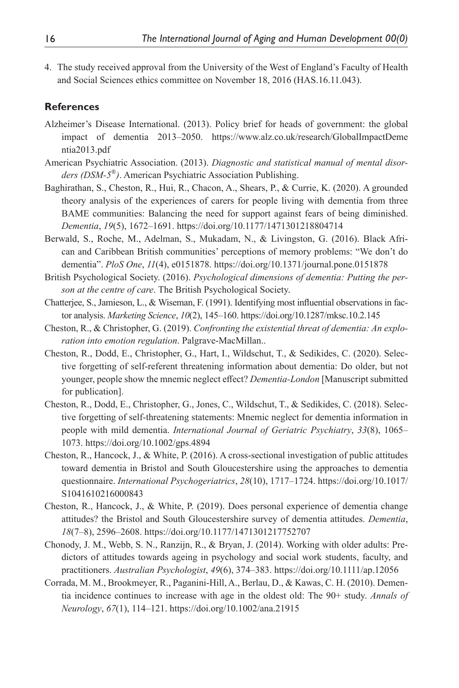<span id="page-15-7"></span>4. The study received approval from the University of the West of England's Faculty of Health and Social Sciences ethics committee on November 18, 2016 (HAS.16.11.043).

# **References**

- <span id="page-15-12"></span>Alzheimer's Disease International. (2013). Policy brief for heads of government: the global impact of dementia 2013–2050. [https://www.alz.co.uk/research/GlobalImpactDeme](https://www.alz.co.uk/research/GlobalImpactDementia2013.pdf) [ntia2013.pdf](https://www.alz.co.uk/research/GlobalImpactDementia2013.pdf)
- <span id="page-15-4"></span>American Psychiatric Association. (2013). *Diagnostic and statistical manual of mental disorders (DSM-5*®*)*. American Psychiatric Association Publishing.
- <span id="page-15-9"></span>Baghirathan, S., Cheston, R., Hui, R., Chacon, A., Shears, P., & Currie, K. (2020). A grounded theory analysis of the experiences of carers for people living with dementia from three BAME communities: Balancing the need for support against fears of being diminished. *Dementia*, *19*(5), 1672–1691.<https://doi.org/10.1177/1471301218804714>
- <span id="page-15-10"></span>Berwald, S., Roche, M., Adelman, S., Mukadam, N., & Livingston, G. (2016). Black African and Caribbean British communities' perceptions of memory problems: "We don't do dementia". *PloS One*, *11*(4), e0151878.<https://doi.org/10.1371/journal.pone.0151878>
- <span id="page-15-5"></span>British Psychological Society. (2016). *Psychological dimensions of dementia: Putting the person at the centre of care*. The British Psychological Society.
- <span id="page-15-6"></span>Chatterjee, S., Jamieson, L., & Wiseman, F. (1991). Identifying most influential observations in factor analysis. *Marketing Science*, *10*(2), 145–160. <https://doi.org/10.1287/mksc.10.2.145>
- <span id="page-15-1"></span>Cheston, R., & Christopher, G. (2019). *Confronting the existential threat of dementia: An exploration into emotion regulation*. Palgrave-MacMillan..
- <span id="page-15-3"></span>Cheston, R., Dodd, E., Christopher, G., Hart, I., Wildschut, T., & Sedikides, C. (2020). Selective forgetting of self-referent threatening information about dementia: Do older, but not younger, people show the mnemic neglect effect? *Dementia-London* [Manuscript submitted for publication].
- <span id="page-15-13"></span>Cheston, R., Dodd, E., Christopher, G., Jones, C., Wildschut, T., & Sedikides, C. (2018). Selective forgetting of self-threatening statements: Mnemic neglect for dementia information in people with mild dementia. *International Journal of Geriatric Psychiatry*, *33*(8), 1065– 1073.<https://doi.org/10.1002/gps.4894>
- <span id="page-15-8"></span>Cheston, R., Hancock, J., & White, P. (2016). A cross-sectional investigation of public attitudes toward dementia in Bristol and South Gloucestershire using the approaches to dementia questionnaire. *International Psychogeriatrics*, *28*(10), 1717–1724. [https://doi.org/10.1017/](https://doi.org/10.1017/S1041610216000843) [S1041610216000843](https://doi.org/10.1017/S1041610216000843)
- <span id="page-15-11"></span>Cheston, R., Hancock, J., & White, P. (2019). Does personal experience of dementia change attitudes? the Bristol and South Gloucestershire survey of dementia attitudes. *Dementia*, *18*(7–8), 2596–2608. <https://doi.org/10.1177/1471301217752707>
- <span id="page-15-2"></span>Chonody, J. M., Webb, S. N., Ranzijn, R., & Bryan, J. (2014). Working with older adults: Predictors of attitudes towards ageing in psychology and social work students, faculty, and practitioners. *Australian Psychologist*, *49*(6), 374–383.<https://doi.org/10.1111/ap.12056>
- <span id="page-15-0"></span>Corrada, M. M., Brookmeyer, R., Paganini-Hill, A., Berlau, D., & Kawas, C. H. (2010). Dementia incidence continues to increase with age in the oldest old: The 90+ study. *Annals of Neurology*, *67*(1), 114–121. <https://doi.org/10.1002/ana.21915>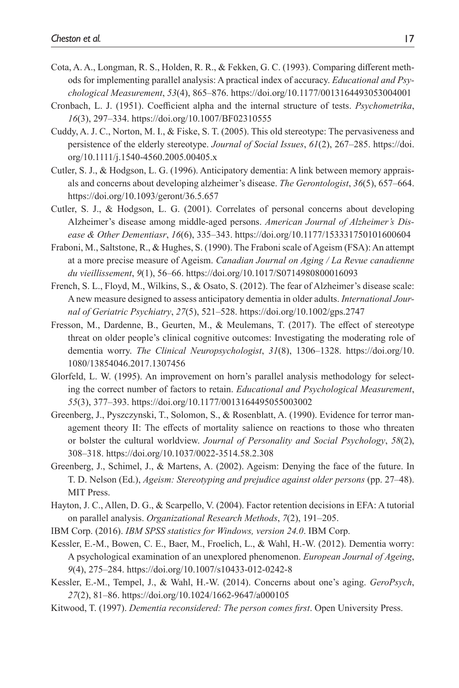- <span id="page-16-8"></span>Cota, A. A., Longman, R. S., Holden, R. R., & Fekken, G. C. (1993). Comparing different methods for implementing parallel analysis: A practical index of accuracy. *Educational and Psychological Measurement*, *53*(4), 865–876.<https://doi.org/10.1177/0013164493053004001>
- <span id="page-16-11"></span>Cronbach, L. J. (1951). Coefficient alpha and the internal structure of tests. *Psychometrika*, *16*(3), 297–334. <https://doi.org/10.1007/BF02310555>
- <span id="page-16-4"></span>Cuddy, A. J. C., Norton, M. I., & Fiske, S. T. (2005). This old stereotype: The pervasiveness and persistence of the elderly stereotype. *Journal of Social Issues*, *61*(2), 267–285. [https://doi.](https://doi.org/10.1111/j.1540-4560.2005.00405.x) [org/10.1111/j.1540-4560.2005.00405.x](https://doi.org/10.1111/j.1540-4560.2005.00405.x)
- <span id="page-16-0"></span>Cutler, S. J., & Hodgson, L. G. (1996). Anticipatory dementia: A link between memory appraisals and concerns about developing alzheimer's disease. *The Gerontologist*, *36*(5), 657–664. <https://doi.org/10.1093/geront/36.5.657>
- <span id="page-16-2"></span>Cutler, S. J., & Hodgson, L. G. (2001). Correlates of personal concerns about developing Alzheimer's disease among middle-aged persons. *American Journal of Alzheimer's Disease & Other Dementiasr*, *16*(6), 335–343.<https://doi.org/10.1177/153331750101600604>
- <span id="page-16-15"></span>Fraboni, M., Saltstone, R., & Hughes, S. (1990). The Fraboni scale of Ageism (FSA): An attempt at a more precise measure of Ageism. *Canadian Journal on Aging / La Revue canadienne du vieillissement*, *9*(1), 56–66.<https://doi.org/10.1017/S0714980800016093>
- <span id="page-16-5"></span>French, S. L., Floyd, M., Wilkins, S., & Osato, S. (2012). The fear of Alzheimer's disease scale: A new measure designed to assess anticipatory dementia in older adults. *International Journal of Geriatric Psychiatry*, *27*(5), 521–528. <https://doi.org/10.1002/gps.2747>
- <span id="page-16-14"></span>Fresson, M., Dardenne, B., Geurten, M., & Meulemans, T. (2017). The effect of stereotype threat on older people's clinical cognitive outcomes: Investigating the moderating role of dementia worry. *The Clinical Neuropsychologist*, *31*(8), 1306–1328. [https://doi.org/10.](https://doi.org/10.1080/13854046.2017.1307456) [1080/13854046.2017.1307456](https://doi.org/10.1080/13854046.2017.1307456)
- <span id="page-16-9"></span>Glorfeld, L. W. (1995). An improvement on horn's parallel analysis methodology for selecting the correct number of factors to retain. *Educational and Psychological Measurement*, *55*(3), 377–393. <https://doi.org/10.1177/0013164495055003002>
- <span id="page-16-3"></span>Greenberg, J., Pyszczynski, T., Solomon, S., & Rosenblatt, A. (1990). Evidence for terror management theory II: The effects of mortality salience on reactions to those who threaten or bolster the cultural worldview. *Journal of Personality and Social Psychology*, *58*(2), 308–318. <https://doi.org/10.1037/0022-3514.58.2.308>
- <span id="page-16-12"></span>Greenberg, J., Schimel, J., & Martens, A. (2002). Ageism: Denying the face of the future. In T. D. Nelson (Ed.), *Ageism: Stereotyping and prejudice against older persons* (pp. 27–48). MIT Press.
- <span id="page-16-10"></span>Hayton, J. C., Allen, D. G., & Scarpello, V. (2004). Factor retention decisions in EFA: A tutorial on parallel analysis. *Organizational Research Methods*, *7*(2), 191–205.
- <span id="page-16-7"></span>IBM Corp. (2016). *IBM SPSS statistics for Windows, version 24.0*. IBM Corp.
- <span id="page-16-1"></span>Kessler, E.-M., Bowen, C. E., Baer, M., Froelich, L., & Wahl, H.-W. (2012). Dementia worry: A psychological examination of an unexplored phenomenon. *European Journal of Ageing*, *9*(4), 275–284.<https://doi.org/10.1007/s10433-012-0242-8>
- <span id="page-16-13"></span>Kessler, E.-M., Tempel, J., & Wahl, H.-W. (2014). Concerns about one's aging. *GeroPsych*, *27*(2), 81–86. <https://doi.org/10.1024/1662-9647/a000105>
- <span id="page-16-6"></span>Kitwood, T. (1997). *Dementia reconsidered: The person comes first*. Open University Press.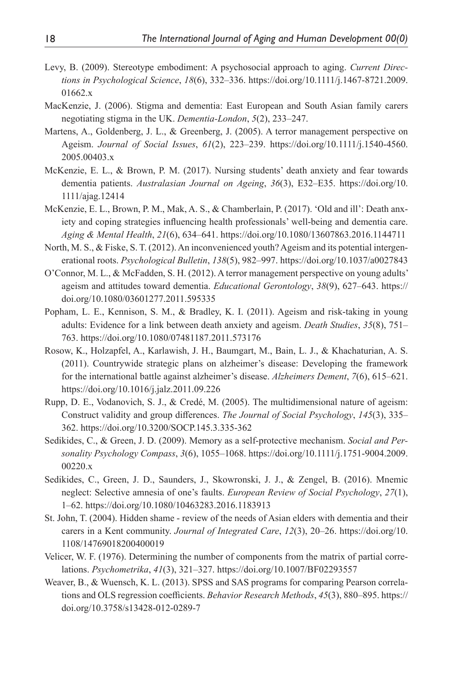- <span id="page-17-13"></span>Levy, B. (2009). Stereotype embodiment: A psychosocial approach to aging. *Current Directions in Psychological Science*, *18*(6), 332–336. [https://doi.org/10.1111/j.1467-8721.2009.](https://doi.org/10.1111/j.1467-8721.2009.01662.x) [01662.x](https://doi.org/10.1111/j.1467-8721.2009.01662.x)
- <span id="page-17-11"></span>MacKenzie, J. (2006). Stigma and dementia: East European and South Asian family carers negotiating stigma in the UK. *Dementia-London*, *5*(2), 233–247.
- <span id="page-17-0"></span>Martens, A., Goldenberg, J. L., & Greenberg, J. (2005). A terror management perspective on Ageism. *Journal of Social Issues*, *61*(2), 223–239. [https://doi.org/10.1111/j.1540-4560.](https://doi.org/10.1111/j.1540-4560.2005.00403.x) [2005.00403.x](https://doi.org/10.1111/j.1540-4560.2005.00403.x)
- <span id="page-17-7"></span>McKenzie, E. L., & Brown, P. M. (2017). Nursing students' death anxiety and fear towards dementia patients. *Australasian Journal on Ageing*, *36*(3), E32–E35. [https://doi.org/10.](https://doi.org/10.1111/ajag.12414) [1111/ajag.12414](https://doi.org/10.1111/ajag.12414)
- <span id="page-17-2"></span>McKenzie, E. L., Brown, P. M., Mak, A. S., & Chamberlain, P. (2017). 'Old and ill': Death anxiety and coping strategies influencing health professionals' well-being and dementia care. *Aging & Mental Health*, *21*(6), 634–641. <https://doi.org/10.1080/13607863.2016.1144711>
- <span id="page-17-3"></span>North, M. S., & Fiske, S. T. (2012). An inconvenienced youth? Ageism and its potential intergenerational roots. *Psychological Bulletin*, *138*(5), 982–997. <https://doi.org/10.1037/a0027843>
- <span id="page-17-1"></span>O'Connor, M. L., & McFadden, S. H. (2012). A terror management perspective on young adults' ageism and attitudes toward dementia. *Educational Gerontology*, *38*(9), 627–643. [https://](https://doi.org/10.1080/03601277.2011.595335) [doi.org/10.1080/03601277.2011.595335](https://doi.org/10.1080/03601277.2011.595335)
- <span id="page-17-4"></span>Popham, L. E., Kennison, S. M., & Bradley, K. I. (2011). Ageism and risk-taking in young adults: Evidence for a link between death anxiety and ageism. *Death Studies*, *35*(8), 751– 763. <https://doi.org/10.1080/07481187.2011.573176>
- <span id="page-17-14"></span>Rosow, K., Holzapfel, A., Karlawish, J. H., Baumgart, M., Bain, L. J., & Khachaturian, A. S. (2011). Countrywide strategic plans on alzheimer's disease: Developing the framework for the international battle against alzheimer's disease. *Alzheimers Dement*, *7*(6), 615–621. <https://doi.org/10.1016/j.jalz.2011.09.226>
- <span id="page-17-9"></span>Rupp, D. E., Vodanovich, S. J., & Credé, M. (2005). The multidimensional nature of ageism: Construct validity and group differences. *The Journal of Social Psychology*, *145*(3), 335– 362. <https://doi.org/10.3200/SOCP.145.3.335-362>
- <span id="page-17-5"></span>Sedikides, C., & Green, J. D. (2009). Memory as a self-protective mechanism. *Social and Personality Psychology Compass*, *3*(6), 1055–1068. [https://doi.org/10.1111/j.1751-9004.2009.](https://doi.org/10.1111/j.1751-9004.2009.00220.x) [00220.x](https://doi.org/10.1111/j.1751-9004.2009.00220.x)
- <span id="page-17-6"></span>Sedikides, C., Green, J. D., Saunders, J., Skowronski, J. J., & Zengel, B. (2016). Mnemic neglect: Selective amnesia of one's faults. *European Review of Social Psychology*, *27*(1), 1–62.<https://doi.org/10.1080/10463283.2016.1183913>
- <span id="page-17-12"></span>St. John, T. (2004). Hidden shame ‐ review of the needs of Asian elders with dementia and their carers in a Kent community. *Journal of Integrated Care*, *12*(3), 20–26. [https://doi.org/10.](https://doi.org/10.1108/14769018200400019) [1108/14769018200400019](https://doi.org/10.1108/14769018200400019)
- <span id="page-17-8"></span>Velicer, W. F. (1976). Determining the number of components from the matrix of partial correlations. *Psychometrika*, *41*(3), 321–327.<https://doi.org/10.1007/BF02293557>
- <span id="page-17-10"></span>Weaver, B., & Wuensch, K. L. (2013). SPSS and SAS programs for comparing Pearson correlations and OLS regression coefficients. *Behavior Research Methods*, *45*(3), 880–895. [https://](https://doi.org/10.3758/s13428-012-0289-7) [doi.org/10.3758/s13428-012-0289-7](https://doi.org/10.3758/s13428-012-0289-7)